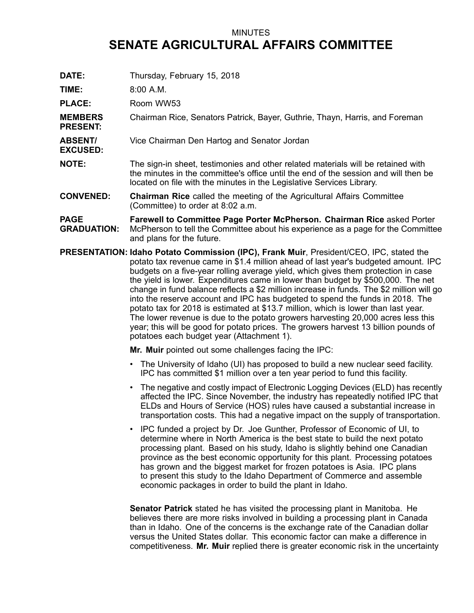## MINUTES **SENATE AGRICULTURAL AFFAIRS COMMITTEE**

**DATE:** Thursday, February 15, 2018

**TIME:** 8:00 A.M.

PLACE: Room WW53

**MEMBERS PRESENT:** Chairman Rice, Senators Patrick, Bayer, Guthrie, Thayn, Harris, and Foreman

- **ABSENT/ EXCUSED:** Vice Chairman Den Hartog and Senator Jordan
- **NOTE:** The sign-in sheet, testimonies and other related materials will be retained with the minutes in the committee's office until the end of the session and will then be located on file with the minutes in the Legislative Services Library.

**CONVENED: Chairman Rice** called the meeting of the Agricultural Affairs Committee (Committee) to order at 8:02 a.m.

**PAGE GRADUATION: Farewell to Committee Page Porter McPherson. Chairman Rice** asked Porter McPherson to tell the Committee about his experience as <sup>a</sup> page for the Committee and plans for the future.

**PRESENTATION: Idaho Potato Commission (IPC), Frank Muir**, President/CEO, IPC, stated the potato tax revenue came in \$1.4 million ahead of last year's budgeted amount. IPC budgets on <sup>a</sup> five-year rolling average yield, which gives them protection in case the yield is lower. Expenditures came in lower than budget by \$500,000. The net change in fund balance reflects <sup>a</sup> \$2 million increase in funds. The \$2 million will go into the reserve account and IPC has budgeted to spend the funds in 2018. The potato tax for 2018 is estimated at \$13.7 million, which is lower than last year. The lower revenue is due to the potato growers harvesting 20,000 acres less this year; this will be good for potato prices. The growers harvest 13 billion pounds of potatoes each budget year (Attachment 1).

**Mr. Muir** pointed out some challenges facing the IPC:

- The University of Idaho (UI) has proposed to build <sup>a</sup> new nuclear seed facility. IPC has committed \$1 million over <sup>a</sup> ten year period to fund this facility.
- The negative and costly impact of Electronic Logging Devices (ELD) has recently affected the IPC. Since November, the industry has repeatedly notified IPC that ELDs and Hours of Service (HOS) rules have caused <sup>a</sup> substantial increase in transportation costs. This had <sup>a</sup> negative impact on the supply of transportation.
- IPC funded <sup>a</sup> project by Dr. Joe Gunther, Professor of Economic of UI, to determine where in North America is the best state to build the next potato processing plant. Based on his study, Idaho is slightly behind one Canadian province as the best economic opportunity for this plant. Processing potatoes has grown and the biggest market for frozen potatoes is Asia. IPC plans to present this study to the Idaho Department of Commerce and assemble economic packages in order to build the plant in Idaho.

**Senator Patrick** stated he has visited the processing plant in Manitoba. He believes there are more risks involved in building <sup>a</sup> processing plant in Canada than in Idaho. One of the concerns is the exchange rate of the Canadian dollar versus the United States dollar. This economic factor can make a difference in competitiveness. **Mr. Muir** replied there is greater economic risk in the uncertainty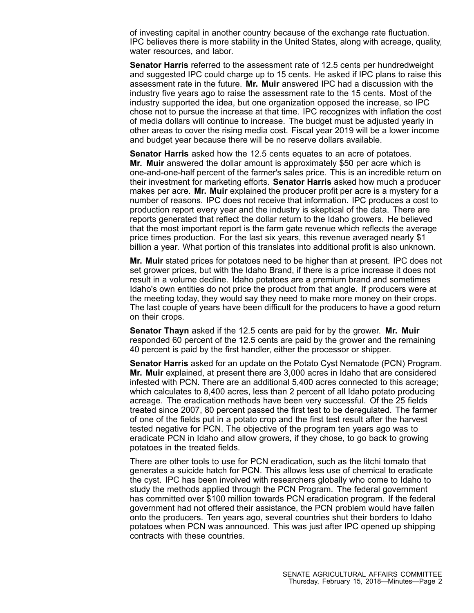of investing capital in another country because of the exchange rate fluctuation. IPC believes there is more stability in the United States, along with acreage, quality, water resources, and labor.

**Senator Harris** referred to the assessment rate of 12.5 cents per hundredweight and suggested IPC could charge up to 15 cents. He asked if IPC plans to raise this assessment rate in the future. **Mr. Muir** answered IPC had a discussion with the industry five years ago to raise the assessment rate to the 15 cents. Most of the industry supported the idea, but one organization opposed the increase, so IPC chose not to pursue the increase at that time. IPC recognizes with inflation the cost of media dollars will continue to increase. The budget must be adjusted yearly in other areas to cover the rising media cost. Fiscal year 2019 will be <sup>a</sup> lower income and budget year because there will be no reserve dollars available.

**Senator Harris** asked how the 12.5 cents equates to an acre of potatoes. **Mr. Muir** answered the dollar amount is approximately \$50 per acre which is one-and-one-half percent of the farmer's sales price. This is an incredible return on their investment for marketing efforts. **Senator Harris** asked how much <sup>a</sup> producer makes per acre. **Mr. Muir** explained the producer profit per acre is <sup>a</sup> mystery for <sup>a</sup> number of reasons. IPC does not receive that information. IPC produces <sup>a</sup> cost to production report every year and the industry is skeptical of the data. There are reports generated that reflect the dollar return to the Idaho growers. He believed that the most important report is the farm gate revenue which reflects the average price times production. For the last six years, this revenue averaged nearly \$1 billion <sup>a</sup> year. What portion of this translates into additional profit is also unknown.

**Mr. Muir** stated prices for potatoes need to be higher than at present. IPC does not set grower prices, but with the Idaho Brand, if there is <sup>a</sup> price increase it does not result in <sup>a</sup> volume decline. Idaho potatoes are <sup>a</sup> premium brand and sometimes Idaho's own entities do not price the product from that angle. If producers were at the meeting today, they would say they need to make more money on their crops. The last couple of years have been difficult for the producers to have <sup>a</sup> good return on their crops.

**Senator Thayn** asked if the 12.5 cents are paid for by the grower. **Mr. Muir** responded 60 percent of the 12.5 cents are paid by the grower and the remaining 40 percent is paid by the first handler, either the processor or shipper.

**Senator Harris** asked for an update on the Potato Cyst Nematode (PCN) Program. **Mr. Muir** explained, at present there are 3,000 acres in Idaho that are considered infested with PCN. There are an additional 5,400 acres connected to this acreage; which calculates to 8,400 acres, less than 2 percent of all Idaho potato producing acreage. The eradication methods have been very successful. Of the 25 fields treated since 2007, 80 percent passed the first test to be deregulated. The farmer of one of the fields put in <sup>a</sup> potato crop and the first test result after the harvest tested negative for PCN. The objective of the program ten years ago was to eradicate PCN in Idaho and allow growers, if they chose, to go back to growing potatoes in the treated fields.

There are other tools to use for PCN eradication, such as the litchi tomato that generates <sup>a</sup> suicide hatch for PCN. This allows less use of chemical to eradicate the cyst. IPC has been involved with researchers globally who come to Idaho to study the methods applied through the PCN Program. The federal government has committed over \$100 million towards PCN eradication program. If the federal government had not offered their assistance, the PCN problem would have fallen onto the producers. Ten years ago, several countries shut their borders to Idaho potatoes when PCN was announced. This was just after IPC opened up shipping contracts with these countries.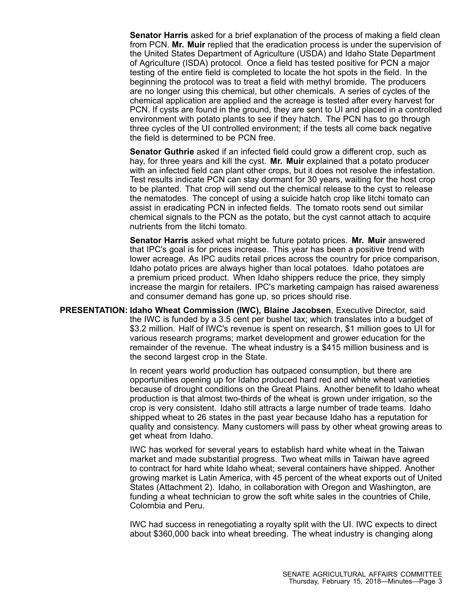**Senator Harris** asked for <sup>a</sup> brief explanation of the process of making <sup>a</sup> field clean from PCN. **Mr. Muir** replied that the eradication process is under the supervision of the United States Department of Agriculture (USDA) and Idaho State Department of Agriculture (ISDA) protocol. Once <sup>a</sup> field has tested positive for PCN <sup>a</sup> major testing of the entire field is completed to locate the hot spots in the field. In the beginning the protocol was to treat <sup>a</sup> field with methyl bromide. The producers are no longer using this chemical, but other chemicals. A series of cycles of the chemical application are applied and the acreage is tested after every harvest for PCN. If cysts are found in the ground, they are sent to UI and placed in <sup>a</sup> controlled environment with potato plants to see if they hatch. The PCN has to go through three cycles of the UI controlled environment; if the tests all come back negative the field is determined to be PCN free.

**Senator Guthrie** asked if an infected field could grow <sup>a</sup> different crop, such as hay, for three years and kill the cyst. **Mr. Muir** explained that <sup>a</sup> potato producer with an infected field can plant other crops, but it does not resolve the infestation. Test results indicate PCN can stay dormant for 30 years, waiting for the host crop to be planted. That crop will send out the chemical release to the cyst to release the nematodes. The concept of using <sup>a</sup> suicide hatch crop like litchi tomato can assist in eradicating PCN in infected fields. The tomato roots send out similar chemical signals to the PCN as the potato, but the cyst cannot attach to acquire nutrients from the litchi tomato.

**Senator Harris** asked what might be future potato prices. **Mr. Muir** answered that IPC's goal is for prices increase. This year has been <sup>a</sup> positive trend with lower acreage. As IPC audits retail prices across the country for price comparison, Idaho potato prices are always higher than local potatoes. Idaho potatoes are <sup>a</sup> premium priced product. When Idaho shippers reduce the price, they simply increase the margin for retailers. IPC's marketing campaign has raised awareness and consumer demand has gone up, so prices should rise.

**PRESENTATION: Idaho Wheat Commission (IWC), Blaine Jacobsen**, Executive Director, said the IWC is funded by <sup>a</sup> 3.5 cent per bushel tax; which translates into <sup>a</sup> budget of \$3.2 million. Half of IWC's revenue is spent on research, \$1 million goes to UI for various research programs; market development and grower education for the remainder of the revenue. The wheat industry is <sup>a</sup> \$415 million business and is the second largest crop in the State.

> In recent years world production has outpaced consumption, but there are opportunities opening up for Idaho produced hard red and white wheat varieties because of drought conditions on the Great Plains. Another benefit to Idaho wheat production is that almost two-thirds of the wheat is grown under irrigation, so the crop is very consistent. Idaho still attracts <sup>a</sup> large number of trade teams. Idaho shipped wheat to 26 states in the past year because Idaho has <sup>a</sup> reputation for quality and consistency. Many customers will pass by other wheat growing areas to get wheat from Idaho.

> IWC has worked for several years to establish hard white wheat in the Taiwan market and made substantial progress. Two wheat mills in Taiwan have agreed to contract for hard white Idaho wheat; several containers have shipped. Another growing market is Latin America, with 45 percent of the wheat exports out of United States (Attachment 2). Idaho, in collaboration with Oregon and Washington, are funding <sup>a</sup> wheat technician to grow the soft white sales in the countries of Chile, Colombia and Peru.

IWC had success in renegotiating <sup>a</sup> royalty split with the UI. IWC expects to direct about \$360,000 back into wheat breeding. The wheat industry is changing along